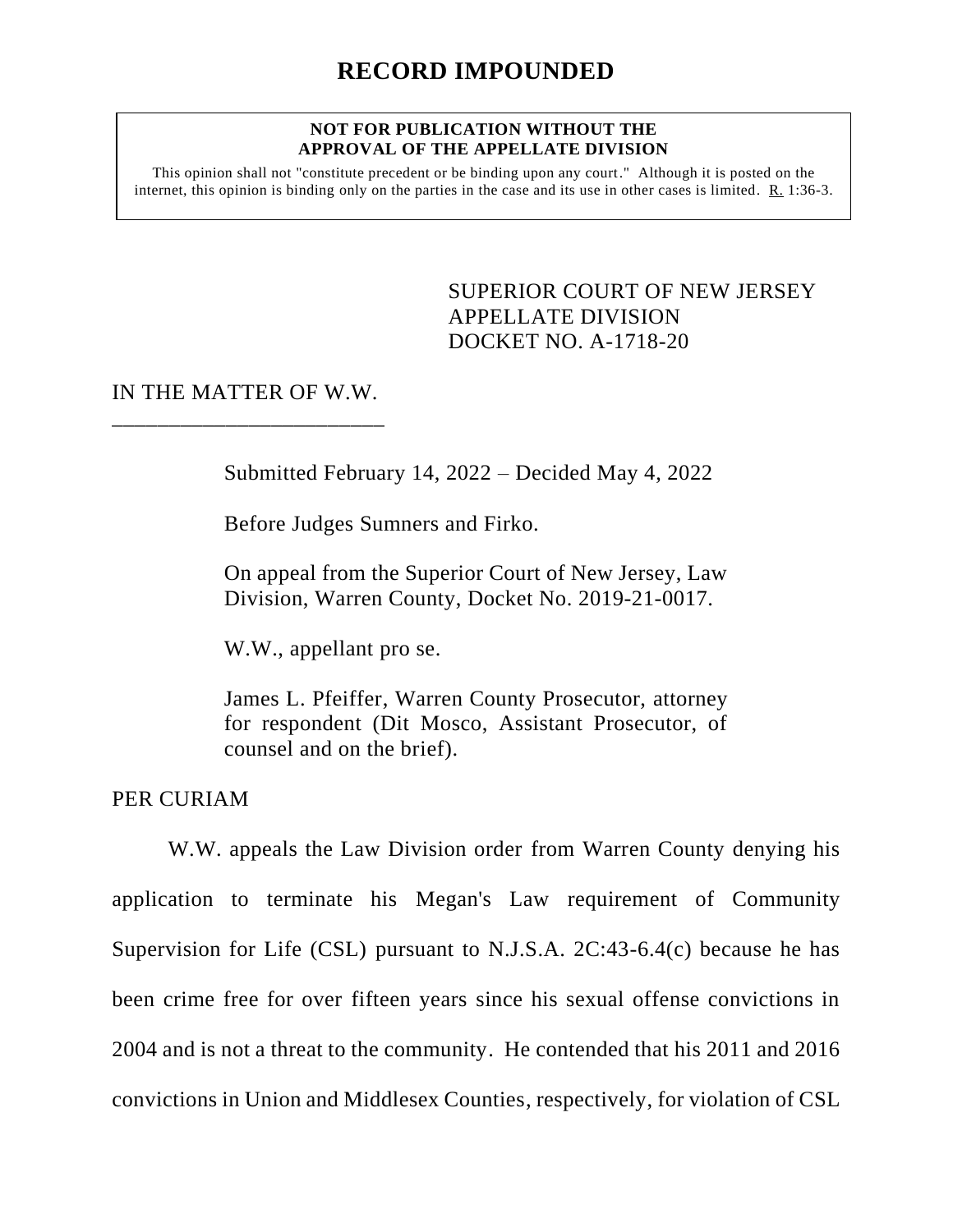#### **NOT FOR PUBLICATION WITHOUT THE APPROVAL OF THE APPELLATE DIVISION**

This opinion shall not "constitute precedent or be binding upon any court." Although it is posted on the internet, this opinion is binding only on the parties in the case and its use in other cases is limited. R. 1:36-3.

## <span id="page-0-0"></span>SUPERIOR COURT OF NEW JERSEY APPELLATE DIVISION DOCKET NO. A-1718-20

## IN THE MATTER OF W.W. \_\_\_\_\_\_\_\_\_\_\_\_\_\_\_\_\_\_\_\_\_\_\_\_

Submitted February 14, 2022 – Decided May 4, 2022

Before Judges Sumners and Firko.

On appeal from the Superior Court of New Jersey, Law Division, Warren County, Docket No. 2019-21-0017.

W.W., appellant pro se.

James L. Pfeiffer, Warren County Prosecutor, attorney for respondent (Dit Mosco, Assistant Prosecutor, of counsel and on the brief).

PER CURIAM

W.W. appeals the Law Division order from Warren County denying his application to terminate his Megan's Law requirement of Community Supervision for Life (CSL) pursuant to N.J.S.A. 2C:43-6.4(c) because he has been crime free for over fifteen years since his sexual offense convictions in 2004 and is not a threat to the community. He contended that his 2011 and 2016 convictions in Union and Middlesex Counties, respectively, for violation of CSL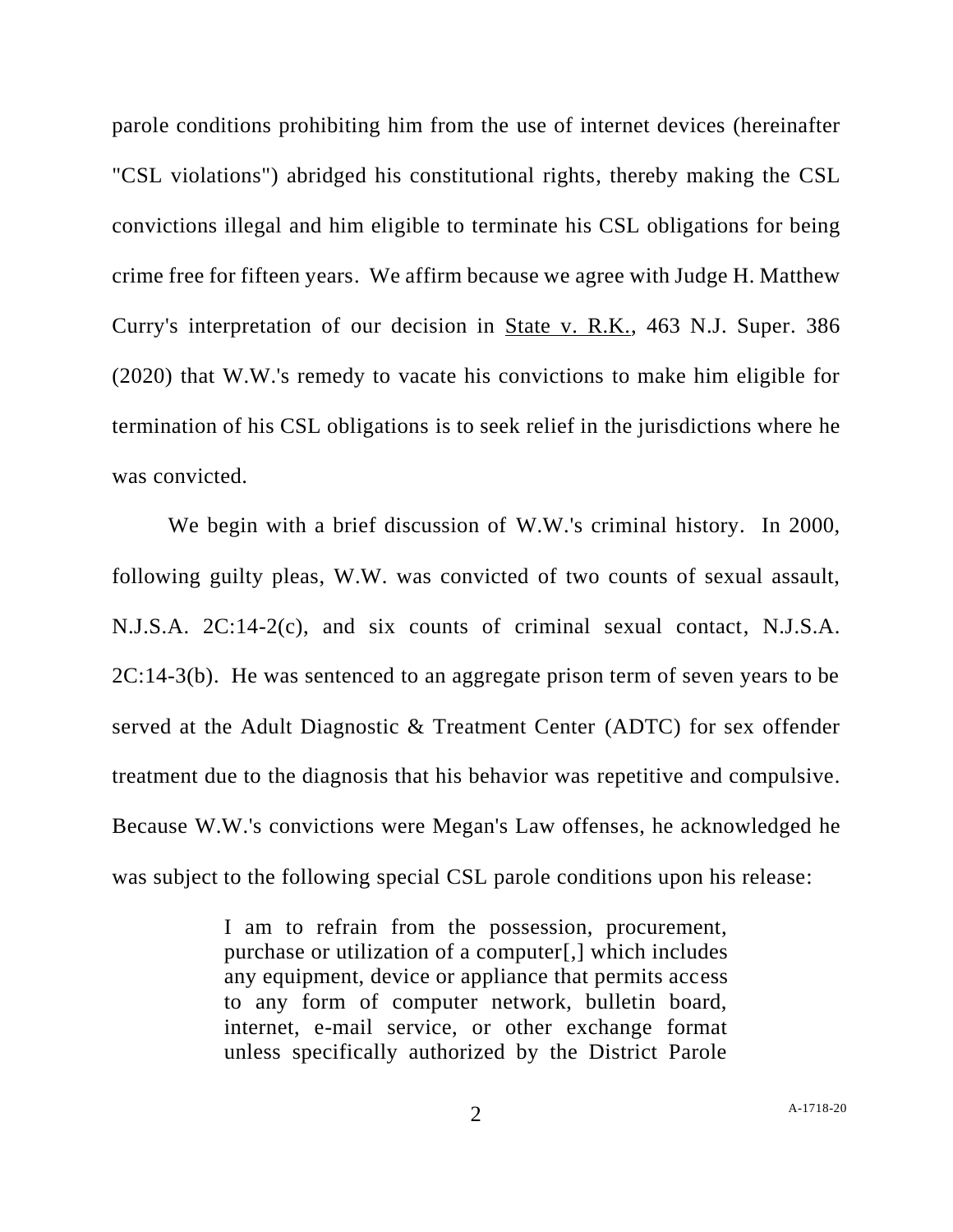parole conditions prohibiting him from the use of internet devices (hereinafter "CSL violations") abridged his constitutional rights, thereby making the CSL convictions illegal and him eligible to terminate his CSL obligations for being crime free for fifteen years. We affirm because we agree with Judge H. Matthew Curry's interpretation of our decision in State v. R.K., 463 N.J. Super. 386 (2020) that W.W.'s remedy to vacate his convictions to make him eligible for termination of his CSL obligations is to seek relief in the jurisdictions where he was convicted.

We begin with a brief discussion of W.W.'s criminal history. In 2000, following guilty pleas, W.W. was convicted of two counts of sexual assault, N.J.S.A. 2C:14-2(c), and six counts of criminal sexual contact, N.J.S.A. 2C:14-3(b). He was sentenced to an aggregate prison term of seven years to be served at the Adult Diagnostic & Treatment Center (ADTC) for sex offender treatment due to the diagnosis that his behavior was repetitive and compulsive. Because W.W.'s convictions were Megan's Law offenses, he acknowledged he was subject to the following special CSL parole conditions upon his release:

> I am to refrain from the possession, procurement, purchase or utilization of a computer[,] which includes any equipment, device or appliance that permits access to any form of computer network, bulletin board, internet, e-mail service, or other exchange format unless specifically authorized by the District Parole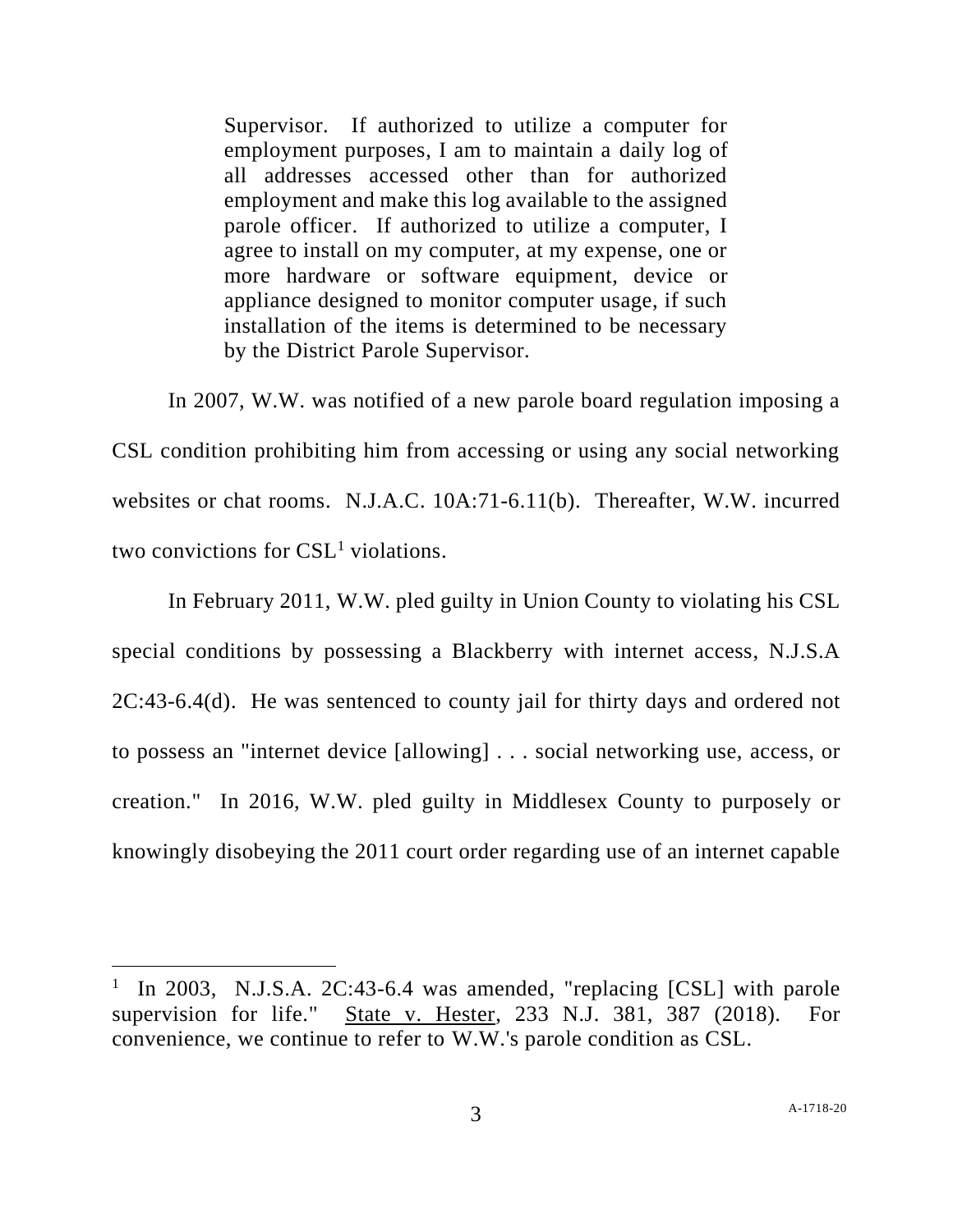Supervisor. If authorized to utilize a computer for employment purposes, I am to maintain a daily log of all addresses accessed other than for authorized employment and make this log available to the assigned parole officer. If authorized to utilize a computer, I agree to install on my computer, at my expense, one or more hardware or software equipment, device or appliance designed to monitor computer usage, if such installation of the items is determined to be necessary by the District Parole Supervisor.

In 2007, W.W. was notified of a new parole board regulation imposing a CSL condition prohibiting him from accessing or using any social networking websites or chat rooms. N.J.A.C. 10A:71-6.11(b). Thereafter, W.W. incurred two convictions for  $CSL<sup>1</sup>$  violations.

In February 2011, W.W. pled guilty in Union County to violating his CSL special conditions by possessing a Blackberry with internet access, N.J.S.A 2C:43-6.4(d). He was sentenced to county jail for thirty days and ordered not to possess an "internet device [allowing] . . . social networking use, access, or creation." In 2016, W.W. pled guilty in Middlesex County to purposely or knowingly disobeying the 2011 court order regarding use of an internet capable

<sup>&</sup>lt;sup>1</sup> In 2003, N.J.S.A. 2C:43-6.4 was amended, "replacing [CSL] with parole supervision for life." State v. Hester, 233 N.J. 381, 387 (2018). For convenience, we continue to refer to W.W.'s parole condition as CSL.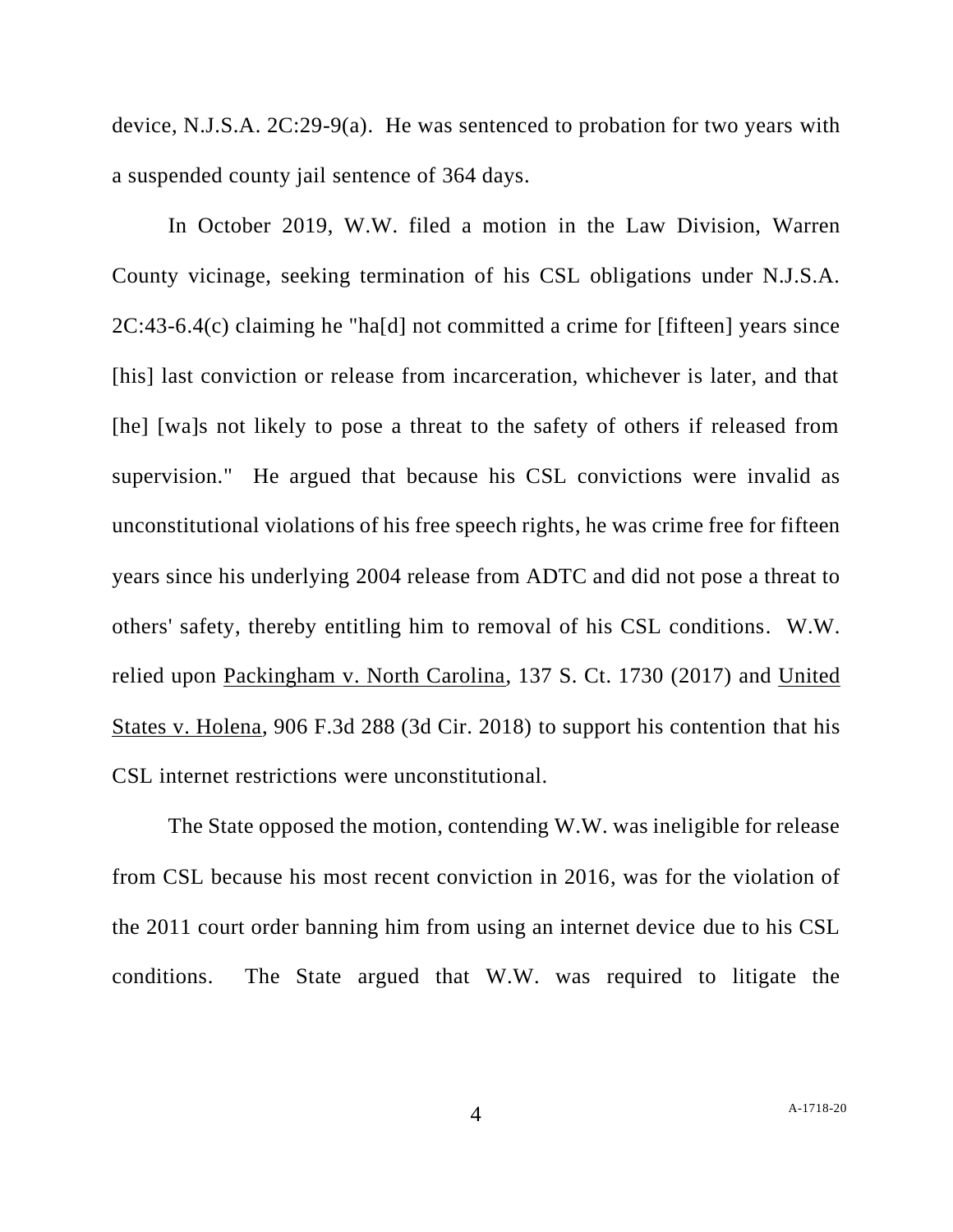device, N.J.S.A. 2C:29-9(a). He was sentenced to probation for two years with a suspended county jail sentence of 364 days.

In October 2019, W.W. filed a motion in the Law Division, Warren County vicinage, seeking termination of his CSL obligations under N.J.S.A. 2C:43-6.4(c) claiming he "ha[d] not committed a crime for [fifteen] years since [his] last conviction or release from incarceration, whichever is later, and that [he] [wa]s not likely to pose a threat to the safety of others if released from supervision." He argued that because his CSL convictions were invalid as unconstitutional violations of his free speech rights, he was crime free for fifteen years since his underlying 2004 release from ADTC and did not pose a threat to others' safety, thereby entitling him to removal of his CSL conditions. W.W. relied upon Packingham v. North Carolina, 137 S. Ct. 1730 (2017) and United States v. Holena, 906 F.3d 288 (3d Cir. 2018) to support his contention that his CSL internet restrictions were unconstitutional.

The State opposed the motion, contending W.W. was ineligible for release from CSL because his most recent conviction in 2016, was for the violation of the 2011 court order banning him from using an internet device due to his CSL conditions. The State argued that W.W. was required to litigate the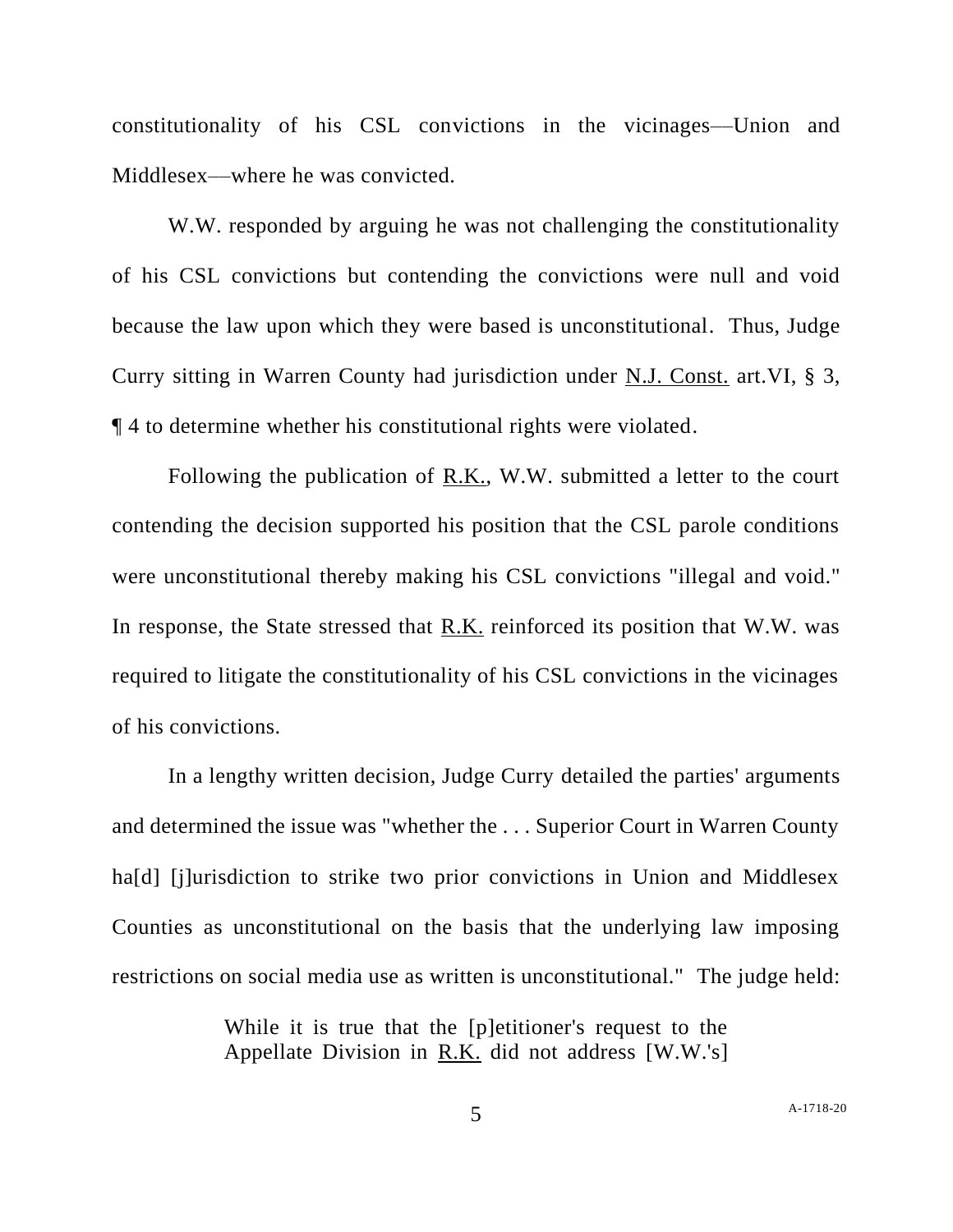constitutionality of his CSL convictions in the vicinages––Union and Middlesex––where he was convicted.

W.W. responded by arguing he was not challenging the constitutionality of his CSL convictions but contending the convictions were null and void because the law upon which they were based is unconstitutional. Thus, Judge Curry sitting in Warren County had jurisdiction under N.J. Const. art.VI, § 3, ¶ 4 to determine whether his constitutional rights were violated.

Following the publication of R.K., W.W. submitted a letter to the court contending the decision supported his position that the CSL parole conditions were unconstitutional thereby making his CSL convictions "illegal and void." In response, the State stressed that R.K. reinforced its position that W.W. was required to litigate the constitutionality of his CSL convictions in the vicinages of his convictions.

In a lengthy written decision, Judge Curry detailed the parties' arguments and determined the issue was "whether the . . . Superior Court in Warren County ha<sup>[d]</sup> [j]urisdiction to strike two prior convictions in Union and Middlesex Counties as unconstitutional on the basis that the underlying law imposing restrictions on social media use as written is unconstitutional." The judge held:

> While it is true that the [p]etitioner's request to the Appellate Division in R.K. did not address [W.W.'s]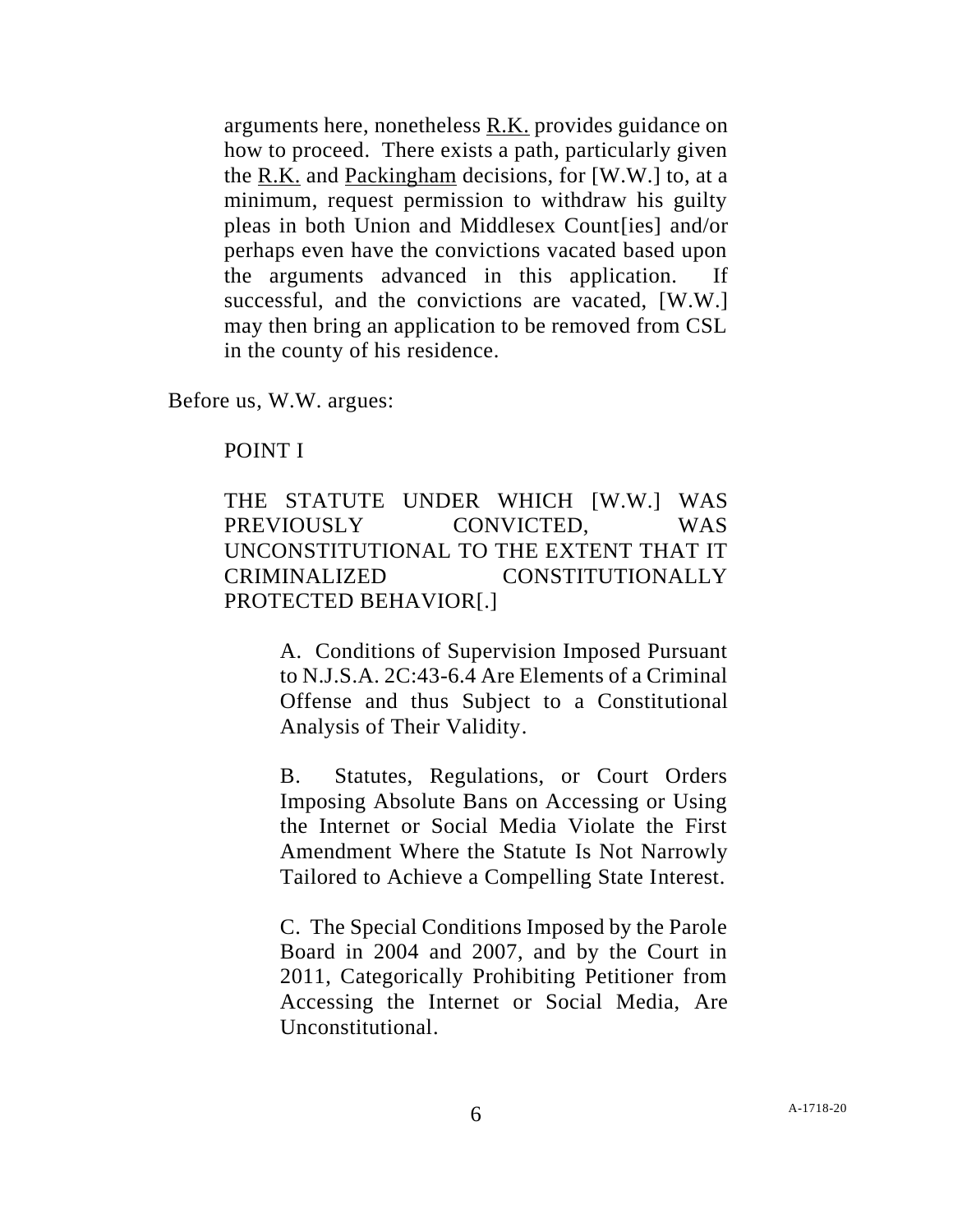arguments here, nonetheless R.K. provides guidance on how to proceed. There exists a path, particularly given the R.K. and Packingham decisions, for [W.W.] to, at a minimum, request permission to withdraw his guilty pleas in both Union and Middlesex Count[ies] and/or perhaps even have the convictions vacated based upon the arguments advanced in this application. If successful, and the convictions are vacated, [W.W.] may then bring an application to be removed from CSL in the county of his residence.

Before us, W.W. argues:

### POINT I

# THE STATUTE UNDER WHICH [W.W.] WAS PREVIOUSLY CONVICTED, WAS UNCONSTITUTIONAL TO THE EXTENT THAT IT CRIMINALIZED CONSTITUTIONALLY PROTECTED BEHAVIOR[.]

A. Conditions of Supervision Imposed Pursuant to N.J.S.A. 2C:43-6.4 Are Elements of a Criminal Offense and thus Subject to a Constitutional Analysis of Their Validity.

B. Statutes, Regulations, or Court Orders Imposing Absolute Bans on Accessing or Using the Internet or Social Media Violate the First Amendment Where the Statute Is Not Narrowly Tailored to Achieve a Compelling State Interest.

C. The Special Conditions Imposed by the Parole Board in 2004 and 2007, and by the Court in 2011, Categorically Prohibiting Petitioner from Accessing the Internet or Social Media, Are Unconstitutional.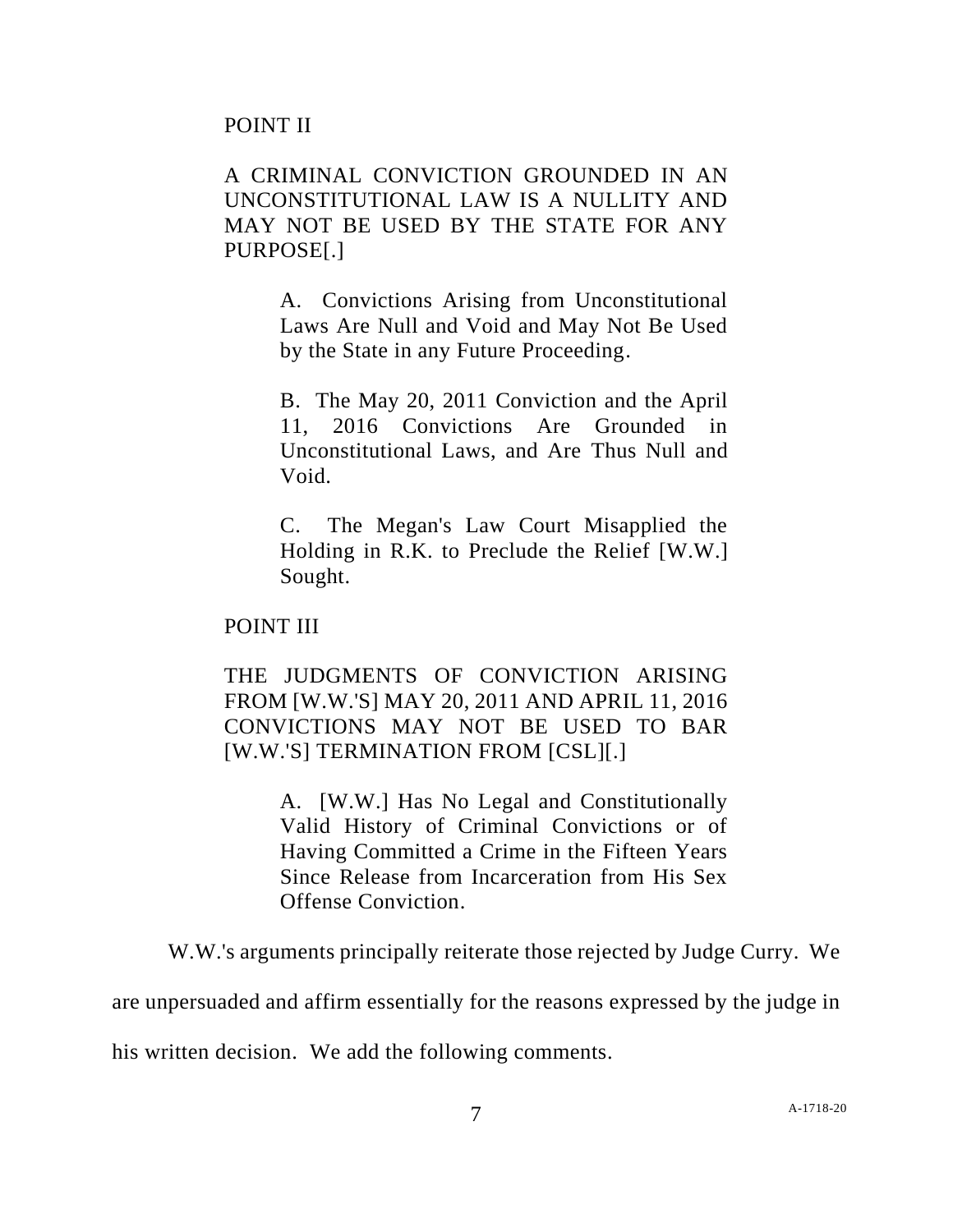# A CRIMINAL CONVICTION GROUNDED IN AN UNCONSTITUTIONAL LAW IS A NULLITY AND MAY NOT BE USED BY THE STATE FOR ANY PURPOSE[.]

A. Convictions Arising from Unconstitutional Laws Are Null and Void and May Not Be Used by the State in any Future Proceeding.

B. The May 20, 2011 Conviction and the April 11, 2016 Convictions Are Grounded in Unconstitutional Laws, and Are Thus Null and Void.

C. The Megan's Law Court Misapplied the Holding in R.K. to Preclude the Relief [W.W.] Sought.

POINT III

THE JUDGMENTS OF CONVICTION ARISING FROM [W.W.'S] MAY 20, 2011 AND APRIL 11, 2016 CONVICTIONS MAY NOT BE USED TO BAR [W.W.'S] TERMINATION FROM [CSL][.]

> A. [W.W.] Has No Legal and Constitutionally Valid History of Criminal Convictions or of Having Committed a Crime in the Fifteen Years Since Release from Incarceration from His Sex Offense Conviction.

W.W.'s arguments principally reiterate those rejected by Judge Curry. We

are unpersuaded and affirm essentially for the reasons expressed by the judge in

his written decision. We add the following comments.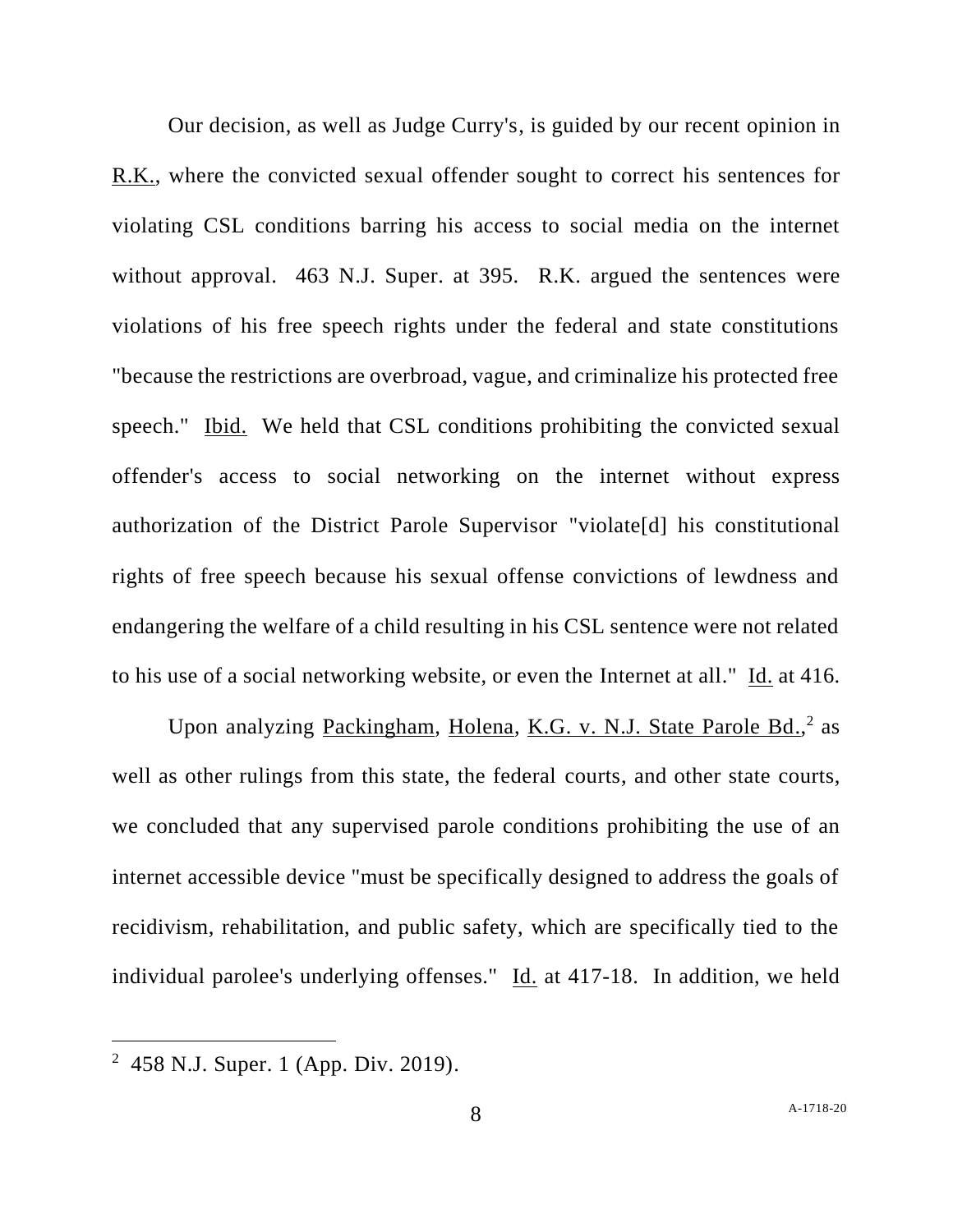Our decision, as well as Judge Curry's, is guided by our recent opinion in R.K., where the convicted sexual offender sought to correct his sentences for violating CSL conditions barring his access to social media on the internet without approval. 463 N.J. Super. at 395. R.K. argued the sentences were violations of his free speech rights under the federal and state constitutions "because the restrictions are overbroad, vague, and criminalize his protected free speech." Ibid. We held that CSL conditions prohibiting the convicted sexual offender's access to social networking on the internet without express authorization of the District Parole Supervisor "violate[d] his constitutional rights of free speech because his sexual offense convictions of lewdness and endangering the welfare of a child resulting in his CSL sentence were not related to his use of a social networking website, or even the Internet at all." Id. at 416.

Upon analyzing Packingham, Holena, K.G. v. N.J. State Parole Bd.,<sup>2</sup> as well as other rulings from this state, the federal courts, and other state courts, we concluded that any supervised parole conditions prohibiting the use of an internet accessible device "must be specifically designed to address the goals of recidivism, rehabilitation, and public safety, which are specifically tied to the individual parolee's underlying offenses." Id. at 417-18. In addition, we held

<sup>2</sup> 458 N.J. Super. 1 (App. Div. 2019).